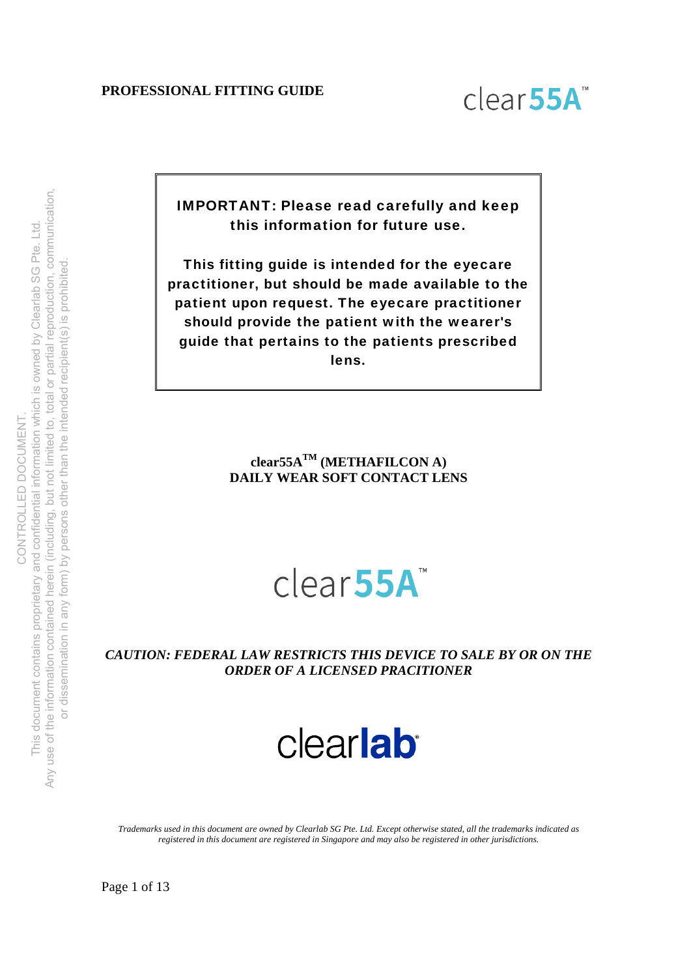

IMPORTANT: Please read carefully and keep this information for future use.

This fitting guide is intended for the eyecare practitioner, but should be made available to the patient upon request. The eyecare practitioner should provide the patient with the wearer's guide that pertains to the patients prescribed lens.

> **clear55ATM (METHAFILCON A) DAILY WEAR SOFT CONTACT LENS**

# clear<sub>55A</sub>

*CAUTION: FEDERAL LAW RESTRICTS THIS DEVICE TO SALE BY OR ON THE ORDER OF A LICENSED PRACITIONER*

# clearlab

*Trademarks used in this document are owned by Clearlab SG Pte. Ltd. Except otherwise stated, all the trademarks indicated as registered in this document are registered in Singapore and may also be registered in other jurisdictions.*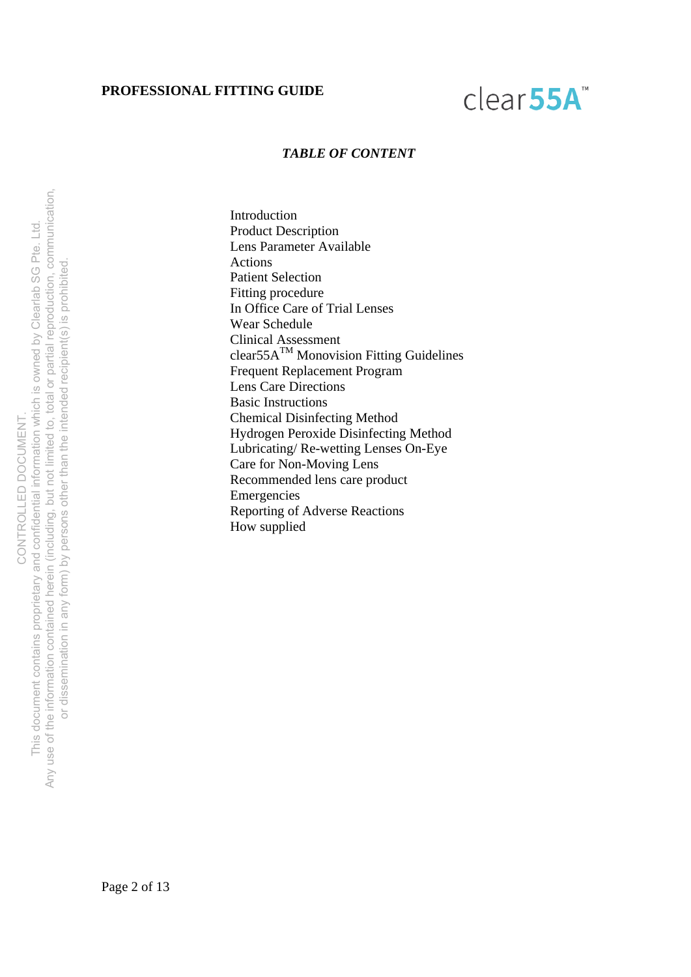# clear55A

#### *TABLE OF CONTENT*

Introduction Product Description Lens Parameter Available Actions Patient Selection Fitting procedure In Office Care of Trial Lenses Wear Schedule Clinical Assessment  $clear55A<sup>TM</sup> Monovision Fitting Guidelines$ Frequent Replacement Program Lens Care Directions Basic Instructions Chemical Disinfecting Method Hydrogen Peroxide Disinfecting Method Lubricating/ Re-wetting Lenses On-Eye Care for Non-Moving Lens Recommended lens care product Emergencies Reporting of Adverse Reactions How supplied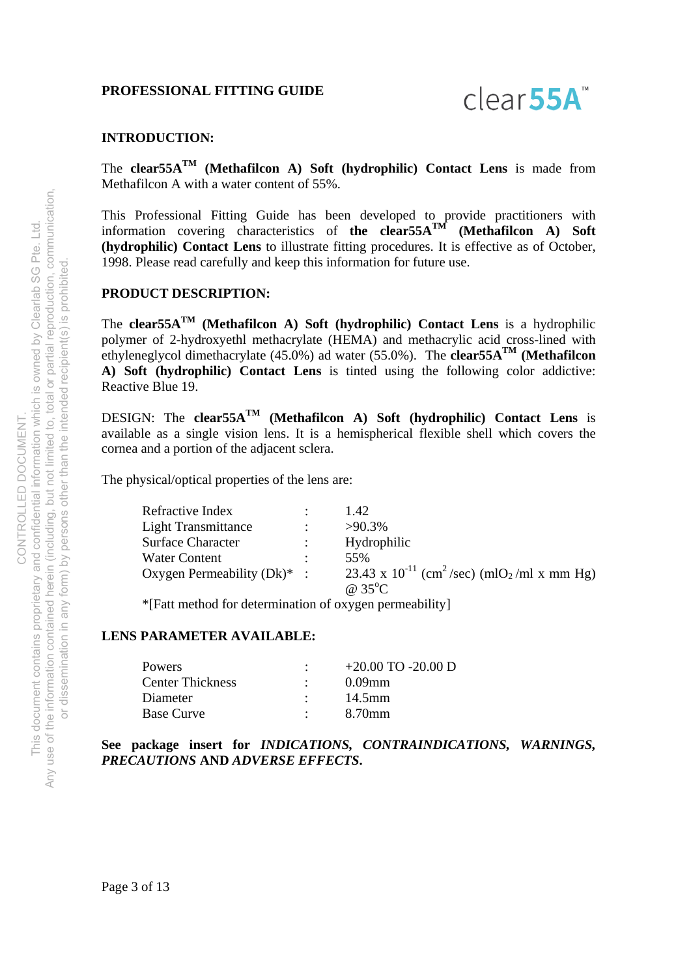

#### **INTRODUCTION:**

The **clear55ATM (Methafilcon A) Soft (hydrophilic) Contact Lens** is made from Methafilcon A with a water content of 55%.

This Professional Fitting Guide has been developed to provide practitioners with information covering characteristics of **the clear55ATM (Methafilcon A) Soft (hydrophilic) Contact Lens** to illustrate fitting procedures. It is effective as of October, 1998. Please read carefully and keep this information for future use.

#### **PRODUCT DESCRIPTION:**

The **clear55ATM (Methafilcon A) Soft (hydrophilic) Contact Lens** is a hydrophilic polymer of 2-hydroxyethl methacrylate (HEMA) and methacrylic acid cross-lined with ethyleneglycol dimethacrylate  $(45.0\%)$  ad water  $(55.0\%)$ . The **clear55A<sup>TM</sup>** (**Methafilcon A) Soft (hydrophilic) Contact Lens** is tinted using the following color addictive: Reactive Blue 19.

DESIGN: The **clear55ATM (Methafilcon A) Soft (hydrophilic) Contact Lens** is available as a single vision lens. It is a hemispherical flexible shell which covers the cornea and a portion of the adjacent sclera.

The physical/optical properties of the lens are:

| Refractive Index               | 1.42                                                                            |
|--------------------------------|---------------------------------------------------------------------------------|
| <b>Light Transmittance</b>     | $>90.3\%$                                                                       |
| <b>Surface Character</b>       | Hydrophilic                                                                     |
| <b>Water Content</b>           | 55%                                                                             |
| Oxygen Permeability $(Dk)^*$ : | 23.43 x 10 <sup>-11</sup> (cm <sup>2</sup> /sec) (mlO <sub>2</sub> /ml x mm Hg) |
|                                | @ $35^{\circ}$ C                                                                |

\*[Fatt method for determination of oxygen permeability]

#### **LENS PARAMETER AVAILABLE:**

| <b>Powers</b>           | $+20.00$ TO -20.00 D |
|-------------------------|----------------------|
| <b>Center Thickness</b> | $0.09$ mm            |
| Diameter                | 14.5mm               |
| <b>Base Curve</b>       | 8.70mm               |

# **See package insert for** *INDICATIONS, CONTRAINDICATIONS, WARNINGS, PRECAUTIONS* **AND** *ADVERSE EFFECTS***.**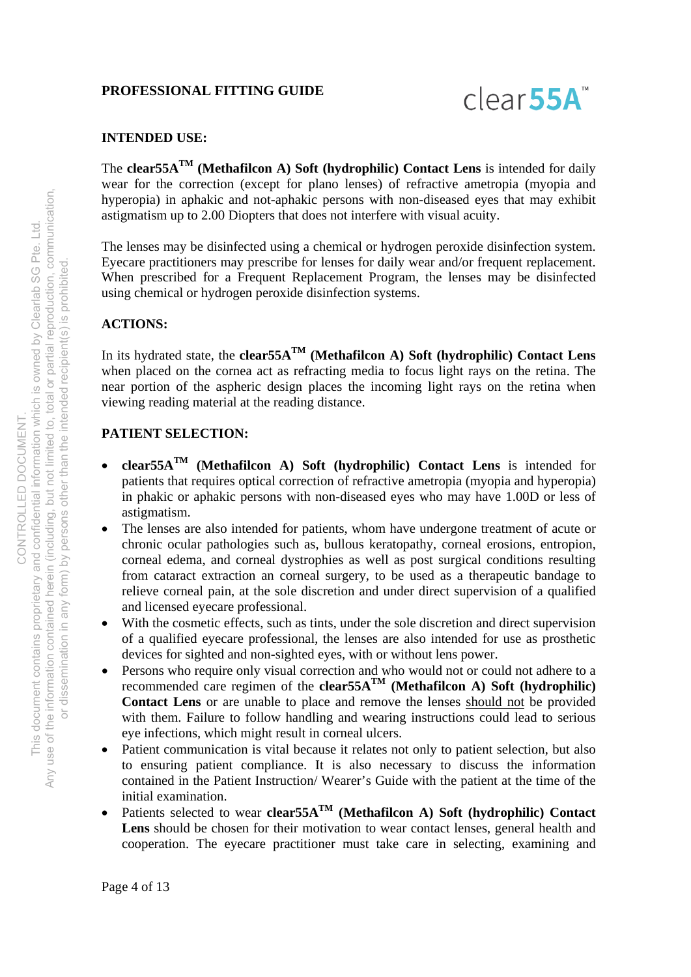

# **INTENDED USE:**

The **clear55ATM (Methafilcon A) Soft (hydrophilic) Contact Lens** is intended for daily wear for the correction (except for plano lenses) of refractive ametropia (myopia and hyperopia) in aphakic and not-aphakic persons with non-diseased eyes that may exhibit astigmatism up to 2.00 Diopters that does not interfere with visual acuity.

The lenses may be disinfected using a chemical or hydrogen peroxide disinfection system. Eyecare practitioners may prescribe for lenses for daily wear and/or frequent replacement. When prescribed for a Frequent Replacement Program, the lenses may be disinfected using chemical or hydrogen peroxide disinfection systems.

# **ACTIONS:**

In its hydrated state, the **clear55ATM (Methafilcon A) Soft (hydrophilic) Contact Lens** when placed on the cornea act as refracting media to focus light rays on the retina. The near portion of the aspheric design places the incoming light rays on the retina when viewing reading material at the reading distance.

# **PATIENT SELECTION:**

- **clear55ATM (Methafilcon A) Soft (hydrophilic) Contact Lens** is intended for patients that requires optical correction of refractive ametropia (myopia and hyperopia) in phakic or aphakic persons with non-diseased eyes who may have 1.00D or less of astigmatism.
- The lenses are also intended for patients, whom have undergone treatment of acute or chronic ocular pathologies such as, bullous keratopathy, corneal erosions, entropion, corneal edema, and corneal dystrophies as well as post surgical conditions resulting from cataract extraction an corneal surgery, to be used as a therapeutic bandage to relieve corneal pain, at the sole discretion and under direct supervision of a qualified and licensed eyecare professional.
- With the cosmetic effects, such as tints, under the sole discretion and direct supervision of a qualified eyecare professional, the lenses are also intended for use as prosthetic devices for sighted and non-sighted eyes, with or without lens power.
- Persons who require only visual correction and who would not or could not adhere to a recommended care regimen of the **clear55A**<sup>TM</sup> (Methafilcon A) Soft (hydrophilic) **Contact Lens** or are unable to place and remove the lenses should not be provided with them. Failure to follow handling and wearing instructions could lead to serious eye infections, which might result in corneal ulcers.
- Patient communication is vital because it relates not only to patient selection, but also to ensuring patient compliance. It is also necessary to discuss the information contained in the Patient Instruction/ Wearer's Guide with the patient at the time of the initial examination.
- Patients selected to wear **clear55A<sup>TM</sup>** (Methafilcon A) Soft (hydrophilic) Contact Lens should be chosen for their motivation to wear contact lenses, general health and cooperation. The eyecare practitioner must take care in selecting, examining and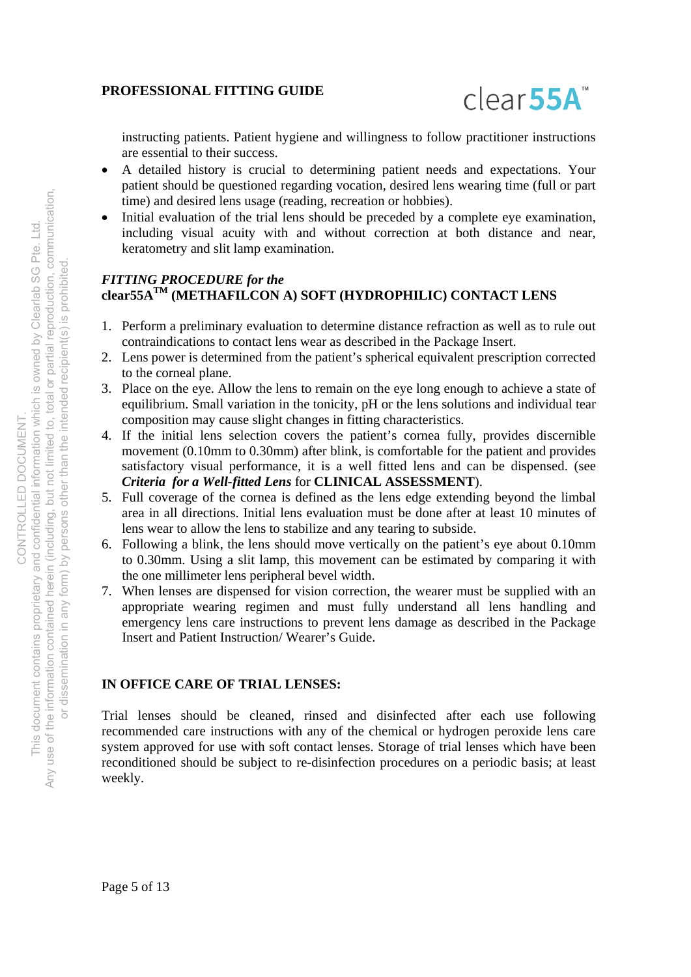

instructing patients. Patient hygiene and willingness to follow practitioner instructions are essential to their success.

- A detailed history is crucial to determining patient needs and expectations. Your patient should be questioned regarding vocation, desired lens wearing time (full or part time) and desired lens usage (reading, recreation or hobbies).
- Initial evaluation of the trial lens should be preceded by a complete eye examination, including visual acuity with and without correction at both distance and near, keratometry and slit lamp examination.

# *FITTING PROCEDURE for the*  **clear55ATM (METHAFILCON A) SOFT (HYDROPHILIC) CONTACT LENS**

- 1. Perform a preliminary evaluation to determine distance refraction as well as to rule out contraindications to contact lens wear as described in the Package Insert.
- 2. Lens power is determined from the patient's spherical equivalent prescription corrected to the corneal plane.
- 3. Place on the eye. Allow the lens to remain on the eye long enough to achieve a state of equilibrium. Small variation in the tonicity, pH or the lens solutions and individual tear composition may cause slight changes in fitting characteristics.
- 4. If the initial lens selection covers the patient's cornea fully, provides discernible movement (0.10mm to 0.30mm) after blink, is comfortable for the patient and provides satisfactory visual performance, it is a well fitted lens and can be dispensed. (see *Criteria for a Well-fitted Lens* for **CLINICAL ASSESSMENT**).
- 5. Full coverage of the cornea is defined as the lens edge extending beyond the limbal area in all directions. Initial lens evaluation must be done after at least 10 minutes of lens wear to allow the lens to stabilize and any tearing to subside.
- 6. Following a blink, the lens should move vertically on the patient's eye about 0.10mm to 0.30mm. Using a slit lamp, this movement can be estimated by comparing it with the one millimeter lens peripheral bevel width.
- 7. When lenses are dispensed for vision correction, the wearer must be supplied with an appropriate wearing regimen and must fully understand all lens handling and emergency lens care instructions to prevent lens damage as described in the Package Insert and Patient Instruction/ Wearer's Guide.

# **IN OFFICE CARE OF TRIAL LENSES:**

Trial lenses should be cleaned, rinsed and disinfected after each use following recommended care instructions with any of the chemical or hydrogen peroxide lens care system approved for use with soft contact lenses. Storage of trial lenses which have been reconditioned should be subject to re-disinfection procedures on a periodic basis; at least weekly.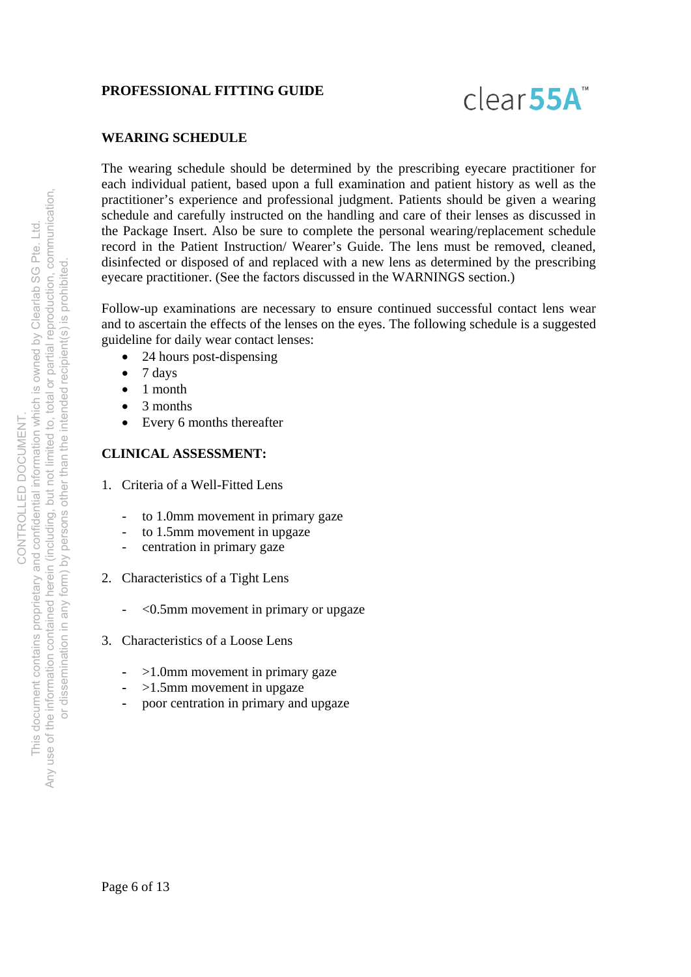

# **WEARING SCHEDULE**

The wearing schedule should be determined by the prescribing eyecare practitioner for each individual patient, based upon a full examination and patient history as well as the practitioner's experience and professional judgment. Patients should be given a wearing schedule and carefully instructed on the handling and care of their lenses as discussed in the Package Insert. Also be sure to complete the personal wearing/replacement schedule record in the Patient Instruction/ Wearer's Guide. The lens must be removed, cleaned, disinfected or disposed of and replaced with a new lens as determined by the prescribing eyecare practitioner. (See the factors discussed in the WARNINGS section.)

Follow-up examinations are necessary to ensure continued successful contact lens wear and to ascertain the effects of the lenses on the eyes. The following schedule is a suggested guideline for daily wear contact lenses:

- 24 hours post-dispensing
- $\bullet$  7 days
- $\bullet$  1 month
- 3 months
- Every 6 months thereafter

# **CLINICAL ASSESSMENT:**

- 1. Criteria of a Well-Fitted Lens
	- to 1.0mm movement in primary gaze
	- to 1.5mm movement in upgaze
	- centration in primary gaze
- 2. Characteristics of a Tight Lens
	- <0.5mm movement in primary or upgaze
- 3. Characteristics of a Loose Lens
	- >1.0mm movement in primary gaze
	- **-** >1.5mm movement in upgaze
	- **-** poor centration in primary and upgaze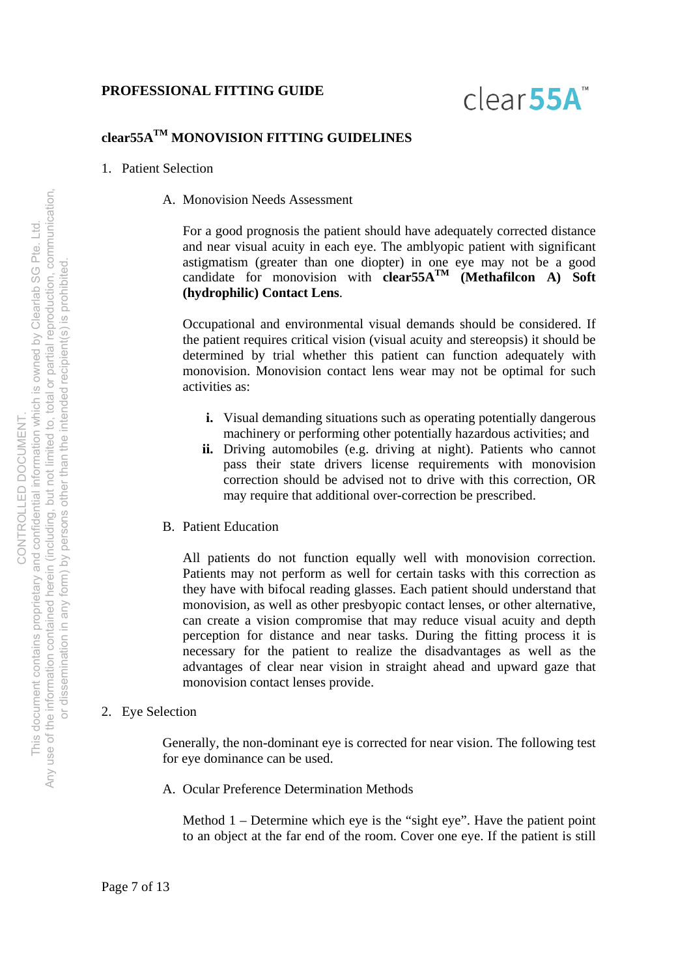

# **clear55ATM MONOVISION FITTING GUIDELINES**

- 1. Patient Selection
	- A. Monovision Needs Assessment

For a good prognosis the patient should have adequately corrected distance and near visual acuity in each eye. The amblyopic patient with significant astigmatism (greater than one diopter) in one eye may not be a good candidate for monovision with **clear55ATM (Methafilcon A) Soft (hydrophilic) Contact Lens**.

Occupational and environmental visual demands should be considered. If the patient requires critical vision (visual acuity and stereopsis) it should be determined by trial whether this patient can function adequately with monovision. Monovision contact lens wear may not be optimal for such activities as:

- **i.** Visual demanding situations such as operating potentially dangerous machinery or performing other potentially hazardous activities; and
- **ii.** Driving automobiles (e.g. driving at night). Patients who cannot pass their state drivers license requirements with monovision correction should be advised not to drive with this correction, OR may require that additional over-correction be prescribed.
- B. Patient Education

All patients do not function equally well with monovision correction. Patients may not perform as well for certain tasks with this correction as they have with bifocal reading glasses. Each patient should understand that monovision, as well as other presbyopic contact lenses, or other alternative, can create a vision compromise that may reduce visual acuity and depth perception for distance and near tasks. During the fitting process it is necessary for the patient to realize the disadvantages as well as the advantages of clear near vision in straight ahead and upward gaze that monovision contact lenses provide.

#### 2. Eye Selection

Generally, the non-dominant eye is corrected for near vision. The following test for eye dominance can be used.

A. Ocular Preference Determination Methods

Method 1 – Determine which eye is the "sight eye". Have the patient point to an object at the far end of the room. Cover one eye. If the patient is still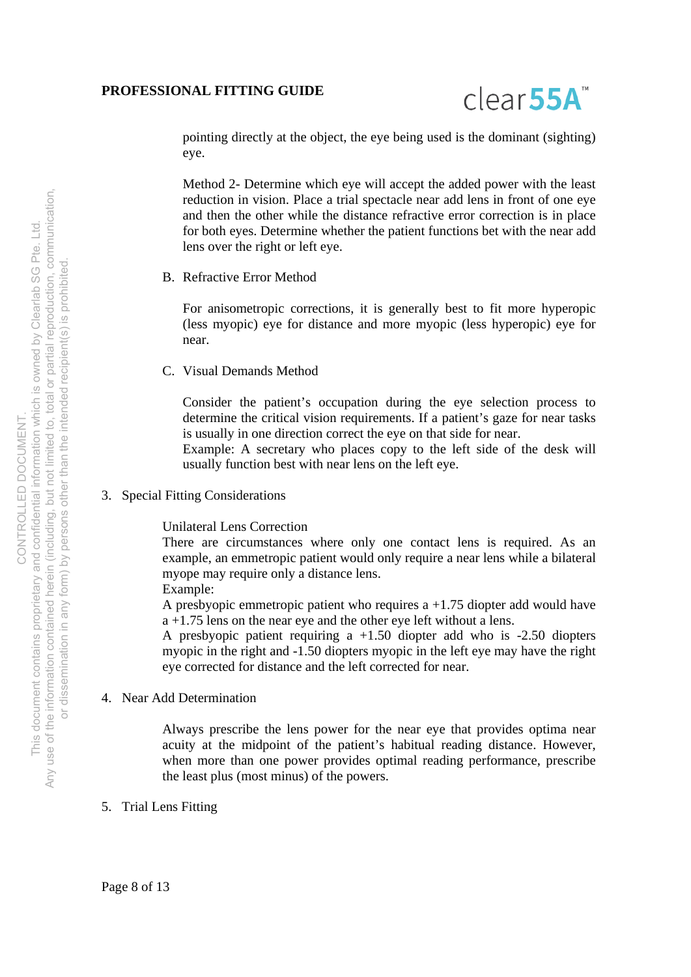

pointing directly at the object, the eye being used is the dominant (sighting) eye.

Method 2- Determine which eye will accept the added power with the least reduction in vision. Place a trial spectacle near add lens in front of one eye and then the other while the distance refractive error correction is in place for both eyes. Determine whether the patient functions bet with the near add lens over the right or left eye.

B. Refractive Error Method

For anisometropic corrections, it is generally best to fit more hyperopic (less myopic) eye for distance and more myopic (less hyperopic) eye for near.

C. Visual Demands Method

Consider the patient's occupation during the eye selection process to determine the critical vision requirements. If a patient's gaze for near tasks is usually in one direction correct the eye on that side for near.

Example: A secretary who places copy to the left side of the desk will usually function best with near lens on the left eye.

3. Special Fitting Considerations

Unilateral Lens Correction

There are circumstances where only one contact lens is required. As an example, an emmetropic patient would only require a near lens while a bilateral myope may require only a distance lens.

Example:

A presbyopic emmetropic patient who requires a +1.75 diopter add would have a +1.75 lens on the near eye and the other eye left without a lens.

A presbyopic patient requiring a +1.50 diopter add who is -2.50 diopters myopic in the right and -1.50 diopters myopic in the left eye may have the right eye corrected for distance and the left corrected for near.

# 4. Near Add Determination

Always prescribe the lens power for the near eye that provides optima near acuity at the midpoint of the patient's habitual reading distance. However, when more than one power provides optimal reading performance, prescribe the least plus (most minus) of the powers.

5. Trial Lens Fitting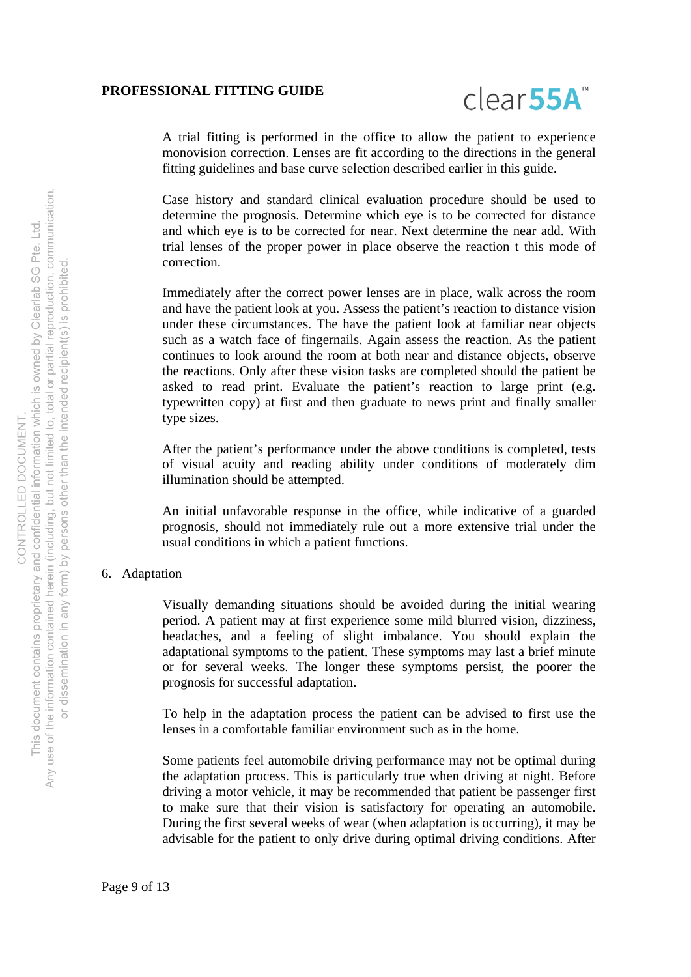

A trial fitting is performed in the office to allow the patient to experience monovision correction. Lenses are fit according to the directions in the general fitting guidelines and base curve selection described earlier in this guide.

Case history and standard clinical evaluation procedure should be used to determine the prognosis. Determine which eye is to be corrected for distance and which eye is to be corrected for near. Next determine the near add. With trial lenses of the proper power in place observe the reaction t this mode of correction.

Immediately after the correct power lenses are in place, walk across the room and have the patient look at you. Assess the patient's reaction to distance vision under these circumstances. The have the patient look at familiar near objects such as a watch face of fingernails. Again assess the reaction. As the patient continues to look around the room at both near and distance objects, observe the reactions. Only after these vision tasks are completed should the patient be asked to read print. Evaluate the patient's reaction to large print (e.g. typewritten copy) at first and then graduate to news print and finally smaller type sizes.

After the patient's performance under the above conditions is completed, tests of visual acuity and reading ability under conditions of moderately dim illumination should be attempted.

An initial unfavorable response in the office, while indicative of a guarded prognosis, should not immediately rule out a more extensive trial under the usual conditions in which a patient functions.

#### 6. Adaptation

Visually demanding situations should be avoided during the initial wearing period. A patient may at first experience some mild blurred vision, dizziness, headaches, and a feeling of slight imbalance. You should explain the adaptational symptoms to the patient. These symptoms may last a brief minute or for several weeks. The longer these symptoms persist, the poorer the prognosis for successful adaptation.

To help in the adaptation process the patient can be advised to first use the lenses in a comfortable familiar environment such as in the home.

Some patients feel automobile driving performance may not be optimal during the adaptation process. This is particularly true when driving at night. Before driving a motor vehicle, it may be recommended that patient be passenger first to make sure that their vision is satisfactory for operating an automobile. During the first several weeks of wear (when adaptation is occurring), it may be advisable for the patient to only drive during optimal driving conditions. After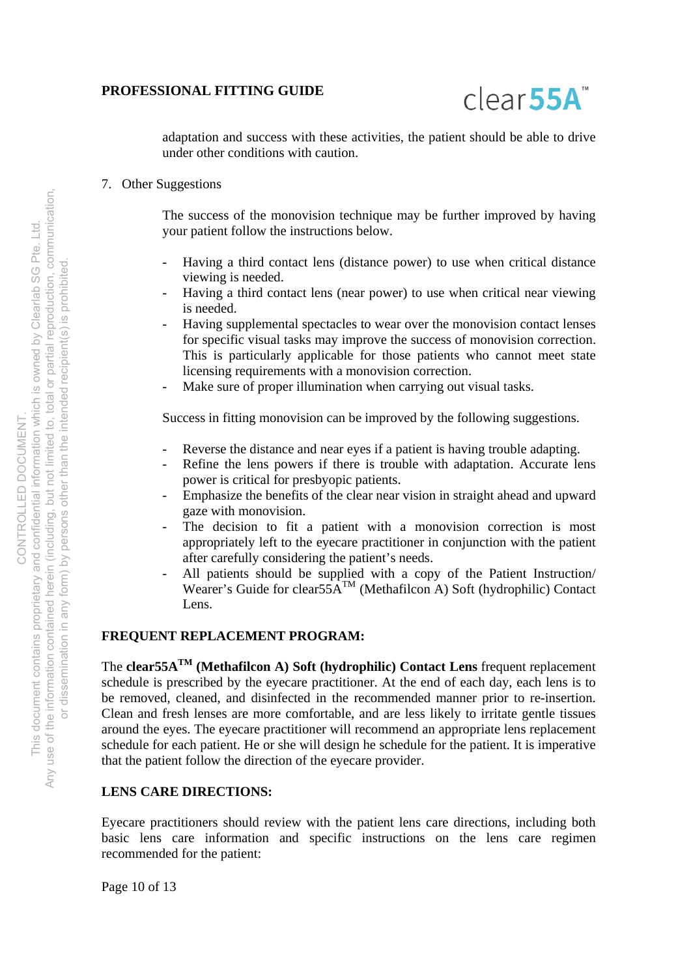

adaptation and success with these activities, the patient should be able to drive under other conditions with caution.

# 7. Other Suggestions

The success of the monovision technique may be further improved by having your patient follow the instructions below.

- Having a third contact lens (distance power) to use when critical distance viewing is needed.
- Having a third contact lens (near power) to use when critical near viewing is needed.
- Having supplemental spectacles to wear over the monovision contact lenses for specific visual tasks may improve the success of monovision correction. This is particularly applicable for those patients who cannot meet state licensing requirements with a monovision correction.
- Make sure of proper illumination when carrying out visual tasks.

Success in fitting monovision can be improved by the following suggestions.

- Reverse the distance and near eyes if a patient is having trouble adapting.
- Refine the lens powers if there is trouble with adaptation. Accurate lens power is critical for presbyopic patients.
- Emphasize the benefits of the clear near vision in straight ahead and upward gaze with monovision.
- The decision to fit a patient with a monovision correction is most appropriately left to the eyecare practitioner in conjunction with the patient after carefully considering the patient's needs.
- All patients should be supplied with a copy of the Patient Instruction/ Wearer's Guide for clear55A<sup>TM</sup> (Methafilcon A) Soft (hydrophilic) Contact Lens.

### **FREQUENT REPLACEMENT PROGRAM:**

The **clear55ATM (Methafilcon A) Soft (hydrophilic) Contact Lens** frequent replacement schedule is prescribed by the eyecare practitioner. At the end of each day, each lens is to be removed, cleaned, and disinfected in the recommended manner prior to re-insertion. Clean and fresh lenses are more comfortable, and are less likely to irritate gentle tissues around the eyes. The eyecare practitioner will recommend an appropriate lens replacement schedule for each patient. He or she will design he schedule for the patient. It is imperative that the patient follow the direction of the eyecare provider.

#### **LENS CARE DIRECTIONS:**

Eyecare practitioners should review with the patient lens care directions, including both basic lens care information and specific instructions on the lens care regimen recommended for the patient:

Page 10 of 13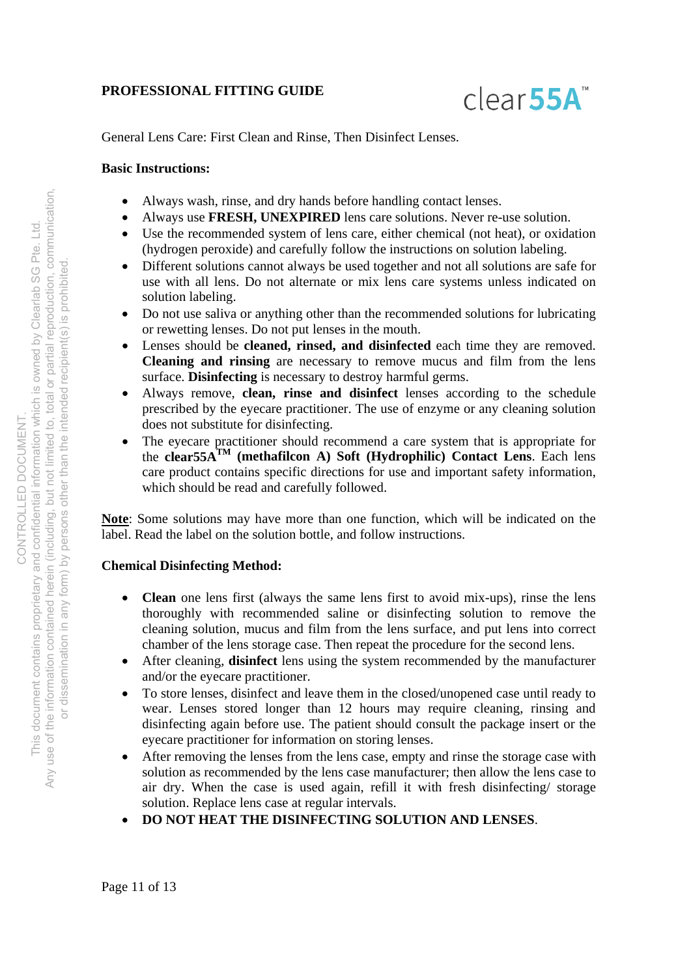

General Lens Care: First Clean and Rinse, Then Disinfect Lenses.

#### **Basic Instructions:**

- Always wash, rinse, and dry hands before handling contact lenses.
- Always use **FRESH, UNEXPIRED** lens care solutions. Never re-use solution.
- Use the recommended system of lens care, either chemical (not heat), or oxidation (hydrogen peroxide) and carefully follow the instructions on solution labeling.
- Different solutions cannot always be used together and not all solutions are safe for use with all lens. Do not alternate or mix lens care systems unless indicated on solution labeling.
- Do not use saliva or anything other than the recommended solutions for lubricating or rewetting lenses. Do not put lenses in the mouth.
- Lenses should be **cleaned, rinsed, and disinfected** each time they are removed. **Cleaning and rinsing** are necessary to remove mucus and film from the lens surface. **Disinfecting** is necessary to destroy harmful germs.
- Always remove, **clean, rinse and disinfect** lenses according to the schedule prescribed by the eyecare practitioner. The use of enzyme or any cleaning solution does not substitute for disinfecting.
- The eyecare practitioner should recommend a care system that is appropriate for the **clear55ATM (methafilcon A) Soft (Hydrophilic) Contact Lens**. Each lens care product contains specific directions for use and important safety information, which should be read and carefully followed.

**Note**: Some solutions may have more than one function, which will be indicated on the label. Read the label on the solution bottle, and follow instructions.

# **Chemical Disinfecting Method:**

- **Clean** one lens first (always the same lens first to avoid mix-ups), rinse the lens thoroughly with recommended saline or disinfecting solution to remove the cleaning solution, mucus and film from the lens surface, and put lens into correct chamber of the lens storage case. Then repeat the procedure for the second lens.
- After cleaning, **disinfect** lens using the system recommended by the manufacturer and/or the eyecare practitioner.
- To store lenses, disinfect and leave them in the closed/unopened case until ready to wear. Lenses stored longer than 12 hours may require cleaning, rinsing and disinfecting again before use. The patient should consult the package insert or the eyecare practitioner for information on storing lenses.
- After removing the lenses from the lens case, empty and rinse the storage case with solution as recommended by the lens case manufacturer; then allow the lens case to air dry. When the case is used again, refill it with fresh disinfecting/ storage solution. Replace lens case at regular intervals.
- **DO NOT HEAT THE DISINFECTING SOLUTION AND LENSES**.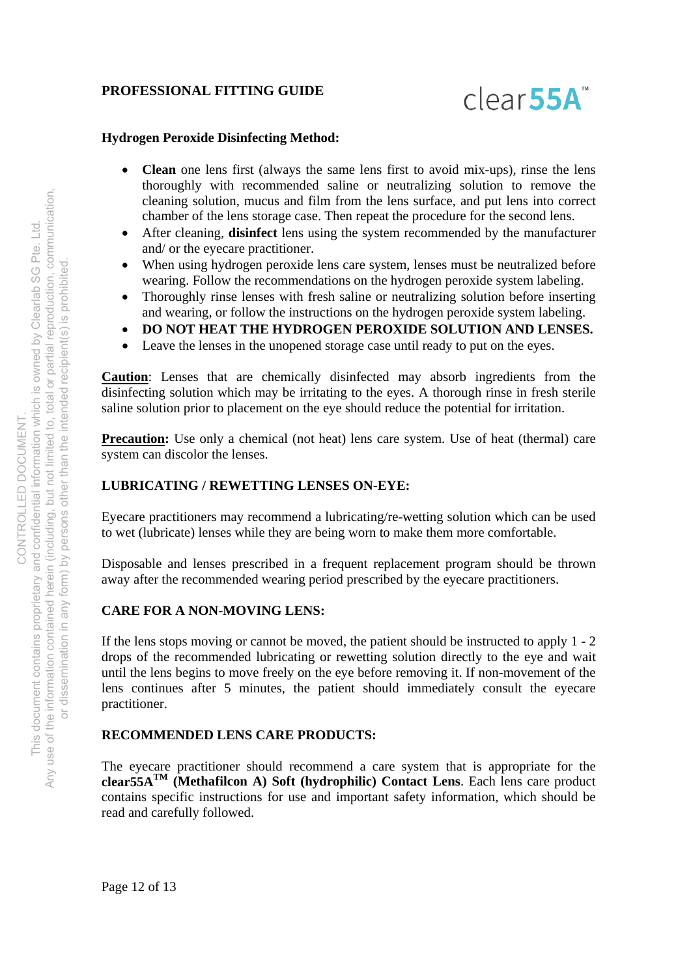

### **Hydrogen Peroxide Disinfecting Method:**

- **Clean** one lens first (always the same lens first to avoid mix-ups), rinse the lens thoroughly with recommended saline or neutralizing solution to remove the cleaning solution, mucus and film from the lens surface, and put lens into correct chamber of the lens storage case. Then repeat the procedure for the second lens.
- After cleaning, **disinfect** lens using the system recommended by the manufacturer and/ or the eyecare practitioner.
- When using hydrogen peroxide lens care system, lenses must be neutralized before wearing. Follow the recommendations on the hydrogen peroxide system labeling.
- Thoroughly rinse lenses with fresh saline or neutralizing solution before inserting and wearing, or follow the instructions on the hydrogen peroxide system labeling.
- **DO NOT HEAT THE HYDROGEN PEROXIDE SOLUTION AND LENSES.**
- Leave the lenses in the unopened storage case until ready to put on the eyes.

**Caution**: Lenses that are chemically disinfected may absorb ingredients from the disinfecting solution which may be irritating to the eyes. A thorough rinse in fresh sterile saline solution prior to placement on the eye should reduce the potential for irritation.

**Precaution:** Use only a chemical (not heat) lens care system. Use of heat (thermal) care system can discolor the lenses.

# **LUBRICATING / REWETTING LENSES ON-EYE:**

Eyecare practitioners may recommend a lubricating/re-wetting solution which can be used to wet (lubricate) lenses while they are being worn to make them more comfortable.

Disposable and lenses prescribed in a frequent replacement program should be thrown away after the recommended wearing period prescribed by the eyecare practitioners.

#### **CARE FOR A NON-MOVING LENS:**

If the lens stops moving or cannot be moved, the patient should be instructed to apply 1 - 2 drops of the recommended lubricating or rewetting solution directly to the eye and wait until the lens begins to move freely on the eye before removing it. If non-movement of the lens continues after 5 minutes, the patient should immediately consult the eyecare practitioner.

#### **RECOMMENDED LENS CARE PRODUCTS:**

The eyecare practitioner should recommend a care system that is appropriate for the **clear55ATM (Methafilcon A) Soft (hydrophilic) Contact Lens**. Each lens care product contains specific instructions for use and important safety information, which should be read and carefully followed.

Page 12 of 13